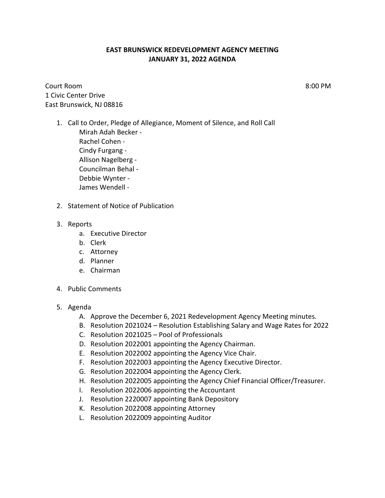## **EAST BRUNSWICK REDEVELOPMENT AGENCY MEETING JANUARY 31, 2022 AGENDA**

Court Room 8:00 PM 1 Civic Center Drive East Brunswick, NJ 08816

- 1. Call to Order, Pledge of Allegiance, Moment of Silence, and Roll Call Mirah Adah Becker - Rachel Cohen - Cindy Furgang - Allison Nagelberg - Councilman Behal - Debbie Wynter - James Wendell -
- 2. Statement of Notice of Publication

## 3. Reports

- a. Executive Director
- b. Clerk
- c. Attorney
- d. Planner
- e. Chairman
- 4. Public Comments
- 5. Agenda
	- A. Approve the December 6, 2021 Redevelopment Agency Meeting minutes.
	- B. Resolution 2021024 Resolution Establishing Salary and Wage Rates for 2022
	- C. Resolution 2021025 Pool of Professionals
	- D. Resolution 2022001 appointing the Agency Chairman.
	- E. Resolution 2022002 appointing the Agency Vice Chair.
	- F. Resolution 2022003 appointing the Agency Executive Director.
	- G. Resolution 2022004 appointing the Agency Clerk.
	- H. Resolution 2022005 appointing the Agency Chief Financial Officer/Treasurer.
	- I. Resolution 2022006 appointing the Accountant
	- J. Resolution 2220007 appointing Bank Depository
	- K. Resolution 2022008 appointing Attorney
	- L. Resolution 2022009 appointing Auditor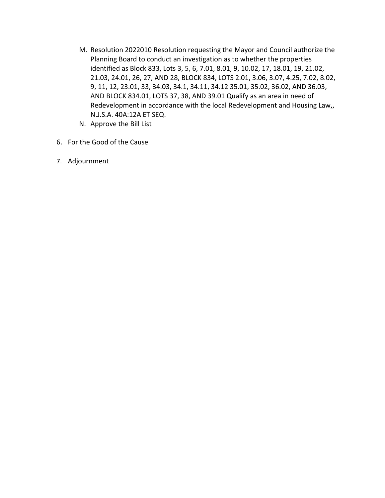- M. Resolution 2022010 Resolution requesting the Mayor and Council authorize the Planning Board to conduct an investigation as to whether the properties identified as Block 833, Lots 3, 5, 6, 7.01, 8.01, 9, 10.02, 17, 18.01, 19, 21.02, 21.03, 24.01, 26, 27, AND 28, BLOCK 834, LOTS 2.01, 3.06, 3.07, 4.25, 7.02, 8.02, 9, 11, 12, 23.01, 33, 34.03, 34.1, 34.11, 34.12 35.01, 35.02, 36.02, AND 36.03, AND BLOCK 834.01, LOTS 37, 38, AND 39.01 Qualify as an area in need of Redevelopment in accordance with the local Redevelopment and Housing Law,, N.J.S.A. 40A:12A ET SEQ.
- N. Approve the Bill List
- 6. For the Good of the Cause
- 7. Adjournment